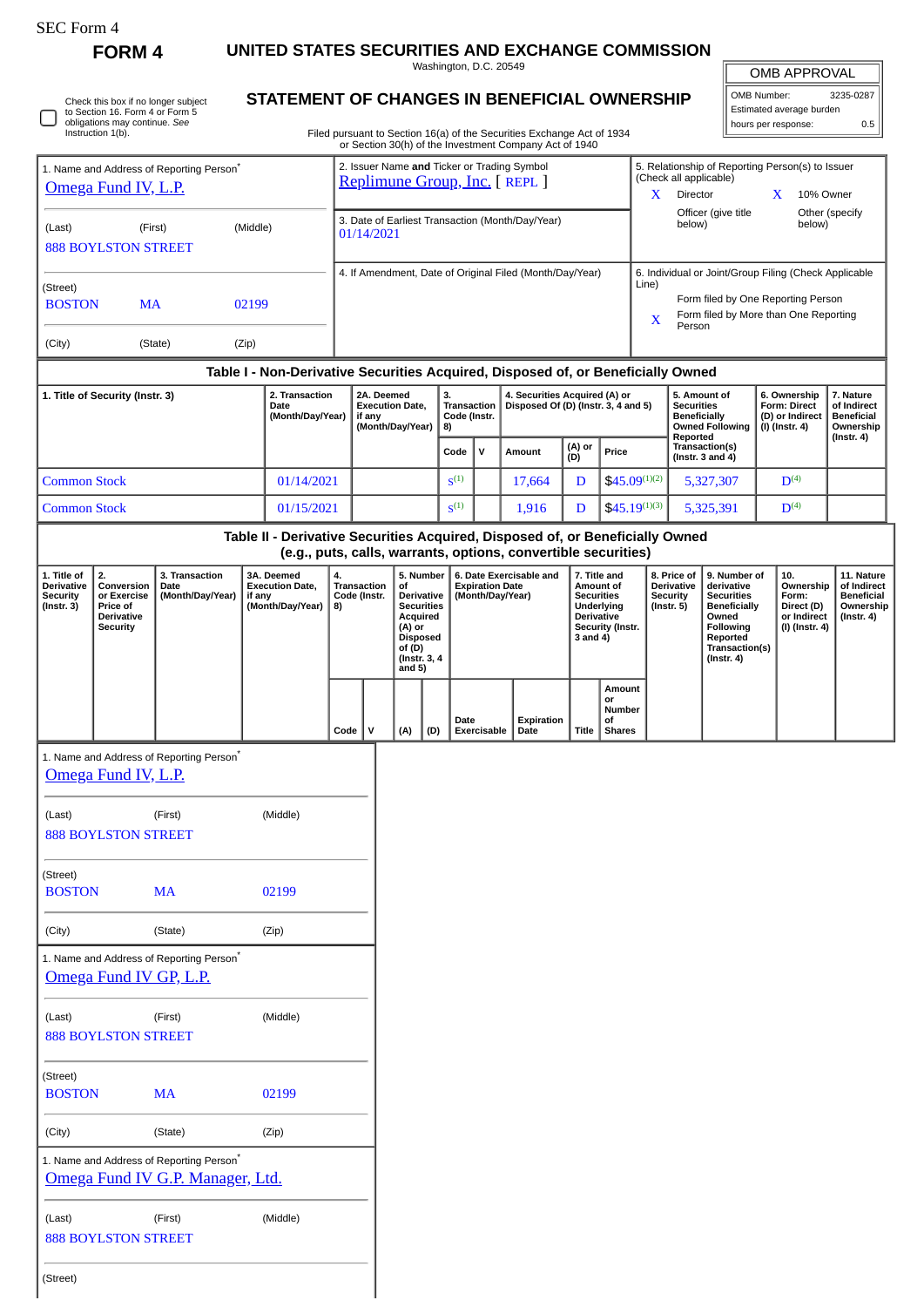**FORM 4 UNITED STATES SECURITIES AND EXCHANGE COMMISSION** Washington, D.C. 20549

OMB APPROVAL

 $\mathbb I$ 

| Check this box if no longer subject<br>to Section 16. Form 4 or Form 5<br>obligations may continue. See<br>Instruction 1(b). |
|------------------------------------------------------------------------------------------------------------------------------|
|                                                                                                                              |

## **STATEMENT OF CHANGES IN BENEFICIAL OWNERSHIP**

Filed pursuant to Section 16(a) of the Securities Exchange Act of 1934 or Section 30(h) of the Investment Company Act of 1940

| OMB Number:<br>3235-0287 |     |  |  |  |  |  |
|--------------------------|-----|--|--|--|--|--|
| Estimated average burden |     |  |  |  |  |  |
| hours per response:      | ስ 5 |  |  |  |  |  |
|                          |     |  |  |  |  |  |

|                                                                         |                                                                                     |                                            |                                                                    |                                                          |                                                                                                                 |                                                                |                                                                                                                               |        |                        | or Section 30(h) of the investment Company Act of 1940                                                                                          |                                                    |                                                                            |                                          |                                                            |                                                                                                                                                |                    |                                                                          |                                                                                 |
|-------------------------------------------------------------------------|-------------------------------------------------------------------------------------|--------------------------------------------|--------------------------------------------------------------------|----------------------------------------------------------|-----------------------------------------------------------------------------------------------------------------|----------------------------------------------------------------|-------------------------------------------------------------------------------------------------------------------------------|--------|------------------------|-------------------------------------------------------------------------------------------------------------------------------------------------|----------------------------------------------------|----------------------------------------------------------------------------|------------------------------------------|------------------------------------------------------------|------------------------------------------------------------------------------------------------------------------------------------------------|--------------------|--------------------------------------------------------------------------|---------------------------------------------------------------------------------|
| 1. Name and Address of Reporting Person <sup>*</sup>                    |                                                                                     |                                            |                                                                    |                                                          | 2. Issuer Name and Ticker or Trading Symbol<br>Replimune Group, Inc. [ REPL ]                                   |                                                                |                                                                                                                               |        |                        |                                                                                                                                                 |                                                    | 5. Relationship of Reporting Person(s) to Issuer<br>(Check all applicable) |                                          |                                                            |                                                                                                                                                |                    |                                                                          |                                                                                 |
| Omega Fund IV, L.P.                                                     |                                                                                     |                                            |                                                                    |                                                          |                                                                                                                 |                                                                |                                                                                                                               |        |                        |                                                                                                                                                 |                                                    | X                                                                          | Director                                 |                                                            | X                                                                                                                                              | 10% Owner          |                                                                          |                                                                                 |
| (First)<br>(Middle)<br>(Last)<br><b>888 BOYLSTON STREET</b>             |                                                                                     |                                            |                                                                    |                                                          |                                                                                                                 | 3. Date of Earliest Transaction (Month/Day/Year)<br>01/14/2021 |                                                                                                                               |        |                        |                                                                                                                                                 |                                                    |                                                                            |                                          | below)                                                     | Officer (give title                                                                                                                            |                    | below)                                                                   | Other (specify                                                                  |
| (Street)<br><b>MA</b><br><b>BOSTON</b><br>02199                         |                                                                                     |                                            |                                                                    |                                                          |                                                                                                                 |                                                                |                                                                                                                               |        |                        | 4. If Amendment, Date of Original Filed (Month/Day/Year)                                                                                        |                                                    |                                                                            | Line)<br>$\overline{\text{X}}$           |                                                            | 6. Individual or Joint/Group Filing (Check Applicable<br>Form filed by One Reporting Person<br>Form filed by More than One Reporting           |                    |                                                                          |                                                                                 |
| (City)                                                                  |                                                                                     | (State)                                    | (Zip)                                                              |                                                          |                                                                                                                 | Person                                                         |                                                                                                                               |        |                        |                                                                                                                                                 |                                                    |                                                                            |                                          |                                                            |                                                                                                                                                |                    |                                                                          |                                                                                 |
|                                                                         |                                                                                     |                                            |                                                                    |                                                          |                                                                                                                 |                                                                |                                                                                                                               |        |                        | Table I - Non-Derivative Securities Acquired, Disposed of, or Beneficially Owned                                                                |                                                    |                                                                            |                                          |                                                            |                                                                                                                                                |                    |                                                                          |                                                                                 |
| 1. Title of Security (Instr. 3)<br>Date                                 |                                                                                     | 2. Transaction<br>(Month/Day/Year)         | 2A. Deemed<br><b>Execution Date,</b><br>if any<br>(Month/Day/Year) |                                                          | 3.<br>4. Securities Acquired (A) or<br>Disposed Of (D) (Instr. 3, 4 and 5)<br>Transaction<br>Code (Instr.<br>8) |                                                                |                                                                                                                               |        |                        | 5. Amount of<br><b>Securities</b><br><b>Beneficially</b><br><b>Owned Following</b><br>Reported                                                  |                                                    | 6. Ownership<br><b>Form: Direct</b><br>(D) or Indirect<br>(I) (Instr. 4)   |                                          | 7. Nature<br>of Indirect<br><b>Beneficial</b><br>Ownership |                                                                                                                                                |                    |                                                                          |                                                                                 |
|                                                                         |                                                                                     |                                            |                                                                    |                                                          |                                                                                                                 | Code                                                           | $\mathsf{v}$                                                                                                                  | Amount | (A) or<br>(D)          | Price                                                                                                                                           |                                                    |                                                                            | Transaction(s)<br>$($ Instr. 3 and 4 $)$ |                                                            |                                                                                                                                                | $($ Instr. 4 $)$   |                                                                          |                                                                                 |
|                                                                         | 01/14/2021<br><b>Common Stock</b>                                                   |                                            |                                                                    |                                                          |                                                                                                                 |                                                                | $S^{(1)}$                                                                                                                     |        | 17,664                 | D                                                                                                                                               | $$45.09^{(1)(2)}$                                  |                                                                            |                                          | 5,327,307                                                  |                                                                                                                                                | D <sup>(4)</sup>   |                                                                          |                                                                                 |
| <b>Common Stock</b><br>01/15/2021                                       |                                                                                     |                                            |                                                                    |                                                          |                                                                                                                 |                                                                | S <sup>(1)</sup>                                                                                                              |        | 1,916                  | D                                                                                                                                               | $$45.19^{(1)(3)}$                                  |                                                                            |                                          | 5,325,391                                                  |                                                                                                                                                | $\mathbf{D}^{(4)}$ |                                                                          |                                                                                 |
|                                                                         |                                                                                     |                                            |                                                                    |                                                          |                                                                                                                 |                                                                |                                                                                                                               |        |                        | Table II - Derivative Securities Acquired, Disposed of, or Beneficially Owned<br>(e.g., puts, calls, warrants, options, convertible securities) |                                                    |                                                                            |                                          |                                                            |                                                                                                                                                |                    |                                                                          |                                                                                 |
| 1. Title of<br><b>Derivative</b><br><b>Security</b><br>$($ Instr. 3 $)$ | 2.<br>Conversion<br>or Exercise<br>Price of<br><b>Derivative</b><br><b>Security</b> | 3. Transaction<br>Date<br>(Month/Day/Year) | if any                                                             | 3A. Deemed<br><b>Execution Date,</b><br>(Month/Day/Year) | 4.<br>8)                                                                                                        | <b>Transaction</b><br>Code (Instr.                             | 5. Number<br>of<br><b>Derivative</b><br><b>Securities</b><br>Acquired<br>(A) or<br><b>Disposed</b><br>of (D)<br>(Instr. 3, 4) |        | <b>Expiration Date</b> | 6. Date Exercisable and<br>(Month/Day/Year)                                                                                                     | <b>Securities</b><br><b>Derivative</b><br>3 and 4) | 7. Title and<br>Amount of<br>Underlying<br>Security (Instr.                | $($ lnstr. 5 $)$                         | 8. Price of<br><b>Derivative</b><br><b>Security</b>        | 9. Number of<br>derivative<br><b>Securities</b><br><b>Beneficially</b><br>Owned<br>Following<br>Reported<br>Transaction(s)<br>$($ Instr. 4 $)$ |                    | 10.<br>Ownership<br>Form:<br>Direct (D)<br>or Indirect<br>(I) (Instr. 4) | 11. Nature<br>of Indirect<br><b>Beneficial</b><br>Ownership<br>$($ Instr. 4 $)$ |

|                            |                                          |          |              |              | of (D) | $($ lnstr. 3, 4<br>and 5) |                     |                    |       |                                                      |
|----------------------------|------------------------------------------|----------|--------------|--------------|--------|---------------------------|---------------------|--------------------|-------|------------------------------------------------------|
|                            |                                          |          | $Code \vert$ | $\mathbf{V}$ | (A)    | (D)                       | Date<br>Exercisable | Expiration<br>Date | Title | Amount<br>or<br><b>Number</b><br>of<br><b>Shares</b> |
|                            | 1. Name and Address of Reporting Person* |          |              |              |        |                           |                     |                    |       |                                                      |
| Omega Fund IV, L.P.        |                                          |          |              |              |        |                           |                     |                    |       |                                                      |
| (Last)                     | (First)                                  | (Middle) |              |              |        |                           |                     |                    |       |                                                      |
| <b>888 BOYLSTON STREET</b> |                                          |          |              |              |        |                           |                     |                    |       |                                                      |
| (Street)                   |                                          |          |              |              |        |                           |                     |                    |       |                                                      |
| <b>BOSTON</b>              | <b>MA</b>                                | 02199    |              |              |        |                           |                     |                    |       |                                                      |
| (City)                     | (State)                                  | (Zip)    |              |              |        |                           |                     |                    |       |                                                      |
|                            | 1. Name and Address of Reporting Person* |          |              |              |        |                           |                     |                    |       |                                                      |
|                            | Omega Fund IV GP, L.P.                   |          |              |              |        |                           |                     |                    |       |                                                      |
| (Last)                     | (First)                                  | (Middle) |              |              |        |                           |                     |                    |       |                                                      |
| <b>888 BOYLSTON STREET</b> |                                          |          |              |              |        |                           |                     |                    |       |                                                      |
| (Street)                   |                                          |          |              |              |        |                           |                     |                    |       |                                                      |
| <b>BOSTON</b>              | <b>MA</b>                                | 02199    |              |              |        |                           |                     |                    |       |                                                      |
|                            |                                          |          |              |              |        |                           |                     |                    |       |                                                      |

1. Name and Address of Reporting Person\* [Omega Fund IV G.P. Manager, Ltd.](http://www.sec.gov/cgi-bin/browse-edgar?action=getcompany&CIK=0001624456)

(City) (State) (Zip)

(Last) (First) (Middle) 888 BOYLSTON STREET

(Street)